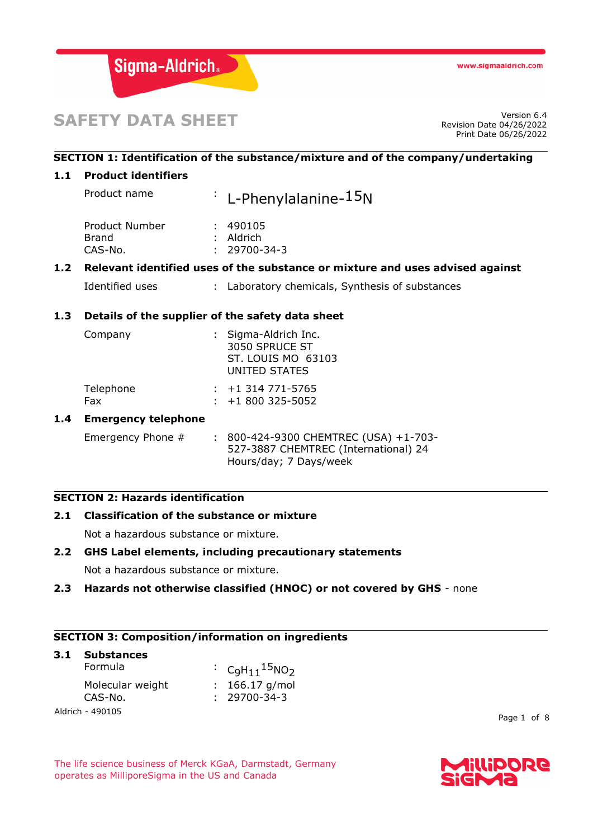

# **SAFETY DATA SHEET**

Revision Date 04/26/2022 Print Date 06/26/2022

## **SECTION 1: Identification of the substance/mixture and of the company/undertaking**

## **1.1 Product identifiers**

| Product name                   | $\cdot$ L-Phenylalanine-15N |
|--------------------------------|-----------------------------|
| Product Number<br><b>Brand</b> | : 490105<br>$:$ Aldrich     |
| CAS-No.                        | $: 29700 - 34 - 3$          |

## **1.2 Relevant identified uses of the substance or mixture and uses advised against**

Hours/day; 7 Days/week

| Identified uses |  |  |  |  |  |  | : Laboratory chemicals, Synthesis of substances |
|-----------------|--|--|--|--|--|--|-------------------------------------------------|
|-----------------|--|--|--|--|--|--|-------------------------------------------------|

## **1.3 Details of the supplier of the safety data sheet**

|     | Company                    | : Sigma-Aldrich Inc.<br>3050 SPRUCE ST<br><b>ST. LOUIS MO 63103</b><br>UNITED STATES |
|-----|----------------------------|--------------------------------------------------------------------------------------|
|     | Telephone<br>Fax.          | $: +1314771 - 5765$<br>$: +1800325 - 5052$                                           |
| 1.4 | <b>Emergency telephone</b> |                                                                                      |
|     | Emergency Phone #          | : 800-424-9300 CHEMTREC (USA) +1-703-<br>527-3887 CHEMTREC (International) 24        |

## **SECTION 2: Hazards identification**

## **2.1 Classification of the substance or mixture**

Not a hazardous substance or mixture.

## **2.2 GHS Label elements, including precautionary statements**

Not a hazardous substance or mixture.

## **2.3 Hazards not otherwise classified (HNOC) or not covered by GHS** - none

## **SECTION 3: Composition/information on ingredients**

#### **3.1 Substances**

| Formula          | : $C_9H_{11}15NO_2$ |  |
|------------------|---------------------|--|
| Molecular weight | : $166.17$ g/mol    |  |
| CAS-No.          | $: 29700 - 34 - 3$  |  |
| $1 - 400 + 05$   |                     |  |

Aldrich - 490105

Page 1 of 8

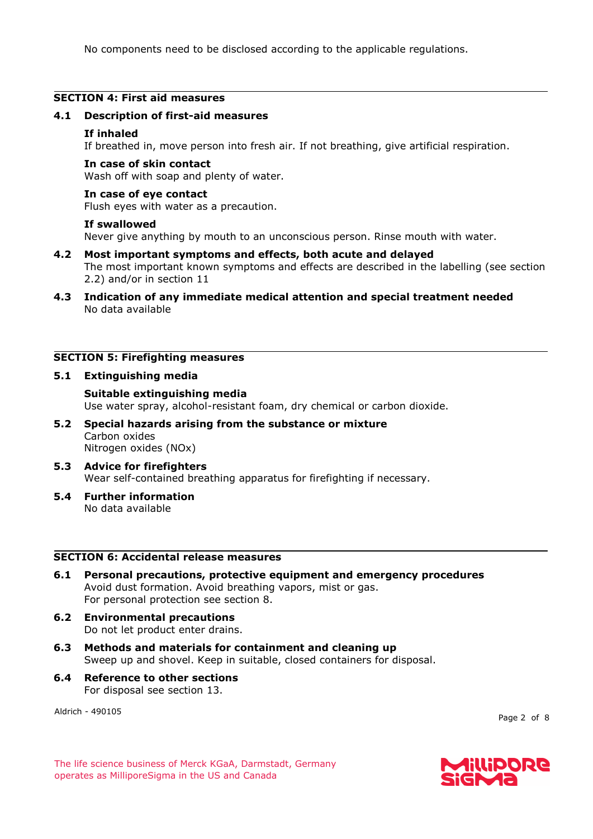No components need to be disclosed according to the applicable regulations.

## **SECTION 4: First aid measures**

#### **4.1 Description of first-aid measures**

#### **If inhaled**

If breathed in, move person into fresh air. If not breathing, give artificial respiration.

#### **In case of skin contact**

Wash off with soap and plenty of water.

## **In case of eye contact**

Flush eyes with water as a precaution.

#### **If swallowed**

Never give anything by mouth to an unconscious person. Rinse mouth with water.

- **4.2 Most important symptoms and effects, both acute and delayed** The most important known symptoms and effects are described in the labelling (see section 2.2) and/or in section 11
- **4.3 Indication of any immediate medical attention and special treatment needed** No data available

## **SECTION 5: Firefighting measures**

#### **5.1 Extinguishing media**

## **Suitable extinguishing media**

Use water spray, alcohol-resistant foam, dry chemical or carbon dioxide.

- **5.2 Special hazards arising from the substance or mixture** Carbon oxides Nitrogen oxides (NOx)
- **5.3 Advice for firefighters** Wear self-contained breathing apparatus for firefighting if necessary.
- **5.4 Further information** No data available

#### **SECTION 6: Accidental release measures**

- **6.1 Personal precautions, protective equipment and emergency procedures** Avoid dust formation. Avoid breathing vapors, mist or gas. For personal protection see section 8.
- **6.2 Environmental precautions** Do not let product enter drains.
- **6.3 Methods and materials for containment and cleaning up** Sweep up and shovel. Keep in suitable, closed containers for disposal.
- **6.4 Reference to other sections** For disposal see section 13.

Aldrich - 490105

Page 2 of 8

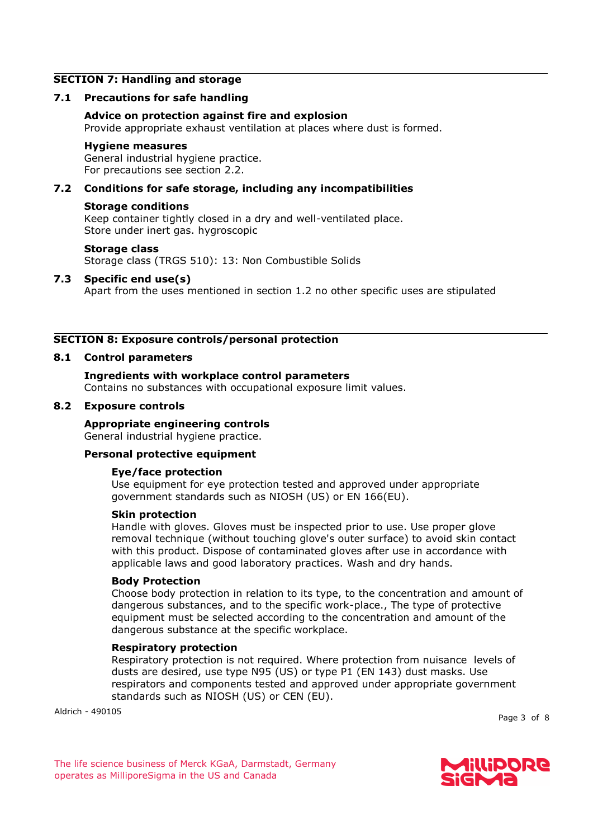#### **SECTION 7: Handling and storage**

#### **7.1 Precautions for safe handling**

#### **Advice on protection against fire and explosion**

Provide appropriate exhaust ventilation at places where dust is formed.

#### **Hygiene measures**

General industrial hygiene practice. For precautions see section 2.2.

#### **7.2 Conditions for safe storage, including any incompatibilities**

#### **Storage conditions**

Keep container tightly closed in a dry and well-ventilated place. Store under inert gas. hygroscopic

#### **Storage class**

Storage class (TRGS 510): 13: Non Combustible Solids

#### **7.3 Specific end use(s)**

Apart from the uses mentioned in section 1.2 no other specific uses are stipulated

#### **SECTION 8: Exposure controls/personal protection**

#### **8.1 Control parameters**

#### **Ingredients with workplace control parameters** Contains no substances with occupational exposure limit values.

#### **8.2 Exposure controls**

## **Appropriate engineering controls**

General industrial hygiene practice.

#### **Personal protective equipment**

## **Eye/face protection**

Use equipment for eye protection tested and approved under appropriate government standards such as NIOSH (US) or EN 166(EU).

#### **Skin protection**

Handle with gloves. Gloves must be inspected prior to use. Use proper glove removal technique (without touching glove's outer surface) to avoid skin contact with this product. Dispose of contaminated gloves after use in accordance with applicable laws and good laboratory practices. Wash and dry hands.

#### **Body Protection**

Choose body protection in relation to its type, to the concentration and amount of dangerous substances, and to the specific work-place., The type of protective equipment must be selected according to the concentration and amount of the dangerous substance at the specific workplace.

#### **Respiratory protection**

Respiratory protection is not required. Where protection from nuisance levels of dusts are desired, use type N95 (US) or type P1 (EN 143) dust masks. Use respirators and components tested and approved under appropriate government standards such as NIOSH (US) or CEN (EU).

Aldrich - 490105

Page 3 of 8

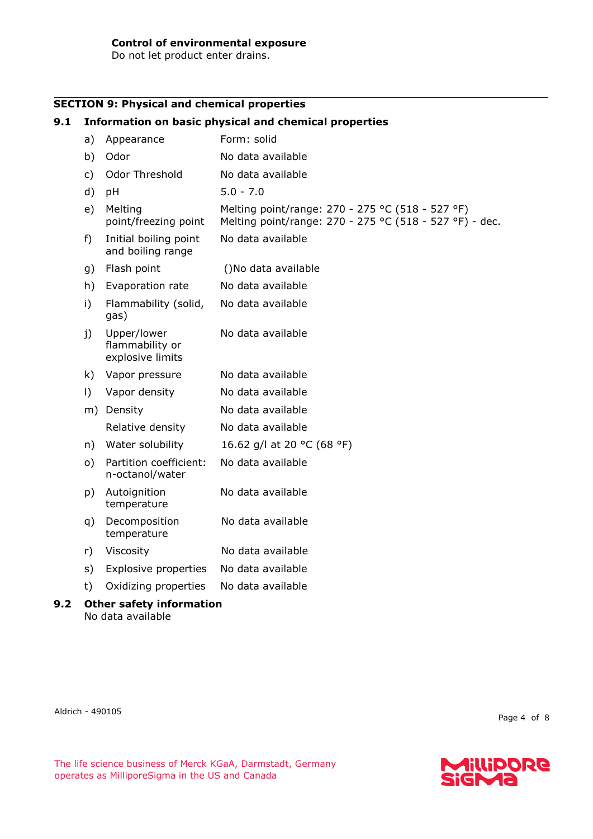Do not let product enter drains.

## **SECTION 9: Physical and chemical properties**

## **9.1 Information on basic physical and chemical properties**

| a)        | Appearance                                         | Form: solid                                                                                                 |
|-----------|----------------------------------------------------|-------------------------------------------------------------------------------------------------------------|
| b)        | Odor                                               | No data available                                                                                           |
| c)        | Odor Threshold                                     | No data available                                                                                           |
| d)        | pH                                                 | $5.0 - 7.0$                                                                                                 |
| e)        | Melting<br>point/freezing point                    | Melting point/range: 270 - 275 °C (518 - 527 °F)<br>Melting point/range: 270 - 275 °C (518 - 527 °F) - dec. |
| f)        | Initial boiling point<br>and boiling range         | No data available                                                                                           |
| g)        | Flash point                                        | ()No data available                                                                                         |
| h)        | Evaporation rate                                   | No data available                                                                                           |
| i)        | Flammability (solid,<br>gas)                       | No data available                                                                                           |
| j)        | Upper/lower<br>flammability or<br>explosive limits | No data available                                                                                           |
| k)        | Vapor pressure                                     | No data available                                                                                           |
| $\vert$ ) | Vapor density                                      | No data available                                                                                           |
| m)        | Density                                            | No data available                                                                                           |
|           | Relative density                                   | No data available                                                                                           |
| n)        | Water solubility                                   | 16.62 g/l at 20 °C (68 °F)                                                                                  |
| o)        | Partition coefficient:<br>n-octanol/water          | No data available                                                                                           |
| p)        | Autoignition<br>temperature                        | No data available                                                                                           |
| q)        | Decomposition<br>temperature                       | No data available                                                                                           |
| r)        | Viscosity                                          | No data available                                                                                           |
| s)        | Explosive properties                               | No data available                                                                                           |
| t)        | Oxidizing properties                               | No data available                                                                                           |
|           |                                                    |                                                                                                             |

## **9.2 Other safety information** No data available

Aldrich - 490105

Page 4 of 8

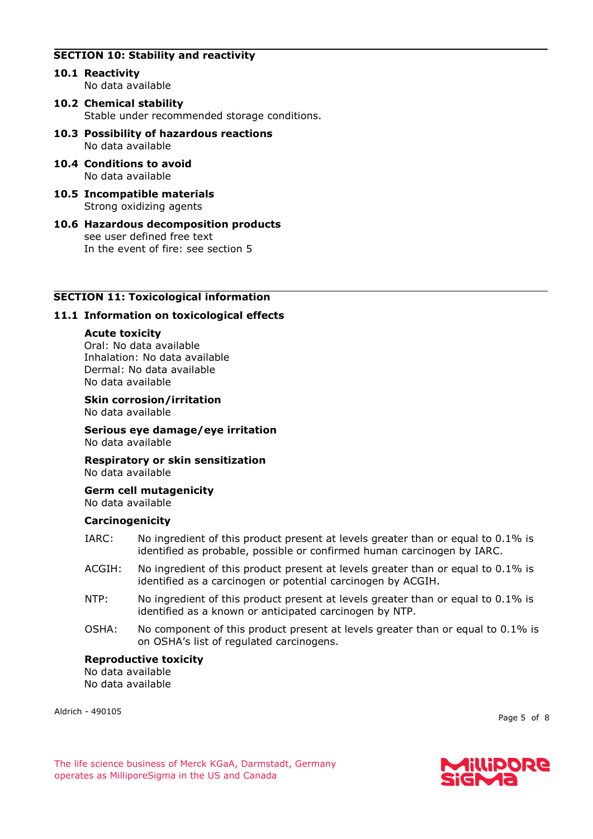## **SECTION 10: Stability and reactivity**

- **10.1 Reactivity** No data available
- **10.2 Chemical stability** Stable under recommended storage conditions.
- **10.3 Possibility of hazardous reactions** No data available
- **10.4 Conditions to avoid** No data available
- **10.5 Incompatible materials** Strong oxidizing agents
- **10.6 Hazardous decomposition products** see user defined free text In the event of fire: see section 5

## **SECTION 11: Toxicological information**

## **11.1 Information on toxicological effects**

#### **Acute toxicity**

Oral: No data available Inhalation: No data available Dermal: No data available No data available

**Skin corrosion/irritation**

No data available

**Serious eye damage/eye irritation** No data available

**Respiratory or skin sensitization** No data available

#### **Germ cell mutagenicity** No data available

## **Carcinogenicity**

- IARC: No ingredient of this product present at levels greater than or equal to 0.1% is identified as probable, possible or confirmed human carcinogen by IARC.
- ACGIH: No ingredient of this product present at levels greater than or equal to 0.1% is identified as a carcinogen or potential carcinogen by ACGIH.
- NTP: No ingredient of this product present at levels greater than or equal to 0.1% is identified as a known or anticipated carcinogen by NTP.
- OSHA: No component of this product present at levels greater than or equal to 0.1% is on OSHA's list of regulated carcinogens.

#### **Reproductive toxicity**

No data available No data available

Aldrich - 490105

Page 5 of 8

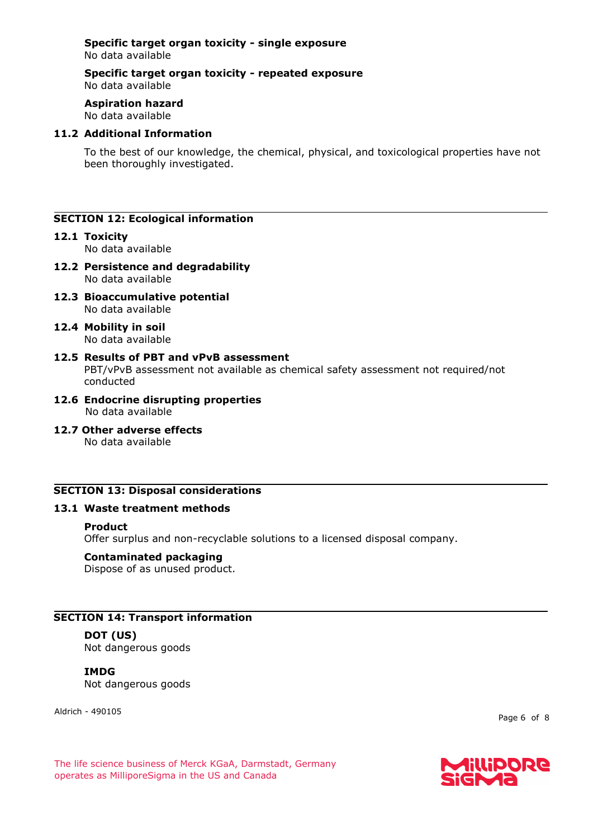#### **Specific target organ toxicity - single exposure** No data available

**Specific target organ toxicity - repeated exposure** No data available

**Aspiration hazard** No data available

# **11.2 Additional Information**

To the best of our knowledge, the chemical, physical, and toxicological properties have not been thoroughly investigated.

## **SECTION 12: Ecological information**

## **12.1 Toxicity**

No data available

- **12.2 Persistence and degradability** No data available
- **12.3 Bioaccumulative potential** No data available
- **12.4 Mobility in soil** No data available

## **12.5 Results of PBT and vPvB assessment** PBT/vPvB assessment not available as chemical safety assessment not required/not conducted

- **12.6 Endocrine disrupting properties** No data available
- **12.7 Other adverse effects** No data available

## **SECTION 13: Disposal considerations**

## **13.1 Waste treatment methods**

## **Product**

Offer surplus and non-recyclable solutions to a licensed disposal company.

## **Contaminated packaging**

Dispose of as unused product.

## **SECTION 14: Transport information**

## **DOT (US)**

Not dangerous goods

## **IMDG**

Not dangerous goods

Aldrich - 490105

Page 6 of 8

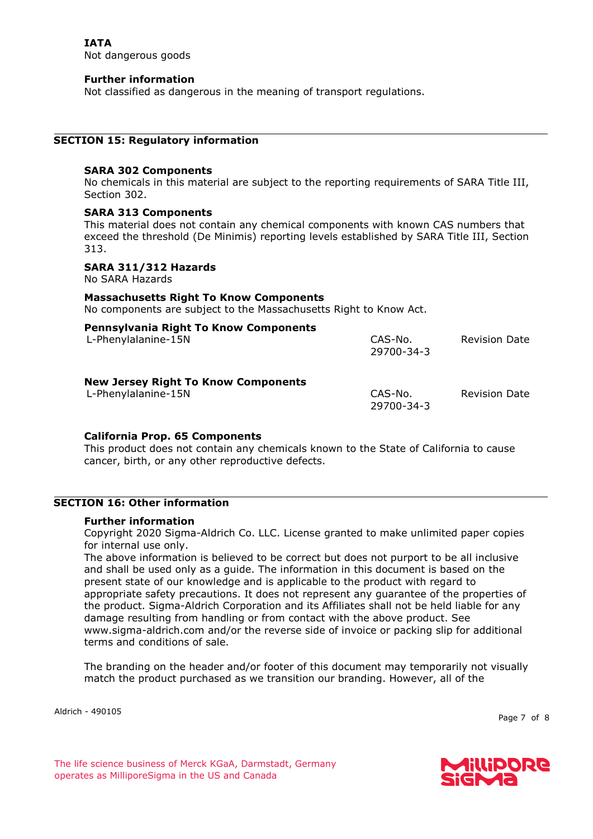**IATA** Not dangerous goods

## **Further information**

Not classified as dangerous in the meaning of transport regulations.

## **SECTION 15: Regulatory information**

#### **SARA 302 Components**

No chemicals in this material are subject to the reporting requirements of SARA Title III, Section 302.

#### **SARA 313 Components**

This material does not contain any chemical components with known CAS numbers that exceed the threshold (De Minimis) reporting levels established by SARA Title III, Section 313.

#### **SARA 311/312 Hazards**

No SARA Hazards

#### **Massachusetts Right To Know Components**

No components are subject to the Massachusetts Right to Know Act.

L-Phenylalanine-15N CAS-No.

| <b>Pennsylvania Right To Know Components</b> |                       |                      |  |
|----------------------------------------------|-----------------------|----------------------|--|
| L-Phenylalanine-15N                          | CAS-No.<br>29700-34-3 | <b>Revision Date</b> |  |
| <b>New Jersey Right To Know Components</b>   |                       |                      |  |

29700-34-3

#### **California Prop. 65 Components**

This product does not contain any chemicals known to the State of California to cause cancer, birth, or any other reproductive defects.

#### **SECTION 16: Other information**

#### **Further information**

Copyright 2020 Sigma-Aldrich Co. LLC. License granted to make unlimited paper copies for internal use only.

The above information is believed to be correct but does not purport to be all inclusive and shall be used only as a guide. The information in this document is based on the present state of our knowledge and is applicable to the product with regard to appropriate safety precautions. It does not represent any guarantee of the properties of the product. Sigma-Aldrich Corporation and its Affiliates shall not be held liable for any damage resulting from handling or from contact with the above product. See www.sigma-aldrich.com and/or the reverse side of invoice or packing slip for additional terms and conditions of sale.

The branding on the header and/or footer of this document may temporarily not visually match the product purchased as we transition our branding. However, all of the

Aldrich - 490105

Page 7 of 8



Revision Date